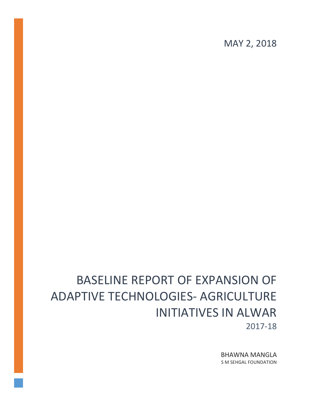MAY 2, 2018

# BASELINE REPORT OF EXPANSION OF ADAPTIVE TECHNOLOGIES- AGRICULTURE INITIATIVES IN ALWAR 2017-18

BHAWNA MANGLA S M SEHGAL FOUNDATION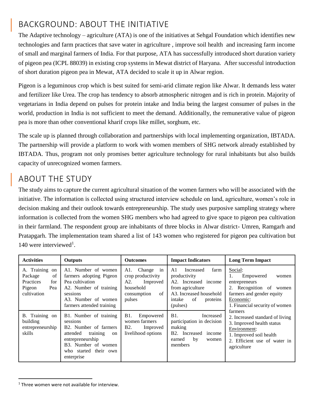# BACKGROUND: ABOUT THE INITIATIVE

The Adaptive technology – agriculture (ATA) is one of the initiatives at Sehgal Foundation which identifies new technologies and farm practices that save water in agriculture , improve soil health and increasing farm income of small and marginal farmers of India. For that purpose, ATA has successfully introduced short duration variety of pigeon pea (ICPL 88039) in existing crop systems in Mewat district of Haryana. After successful introduction of short duration pigeon pea in Mewat, ATA decided to scale it up in Alwar region.

Pigeon is a leguminous crop which is best suited for semi-arid climate region like Alwar. It demands less water and fertilizer like Urea. The crop has tendency to absorb atmospheric nitrogen and is rich in protein. Majority of vegetarians in India depend on pulses for protein intake and India being the largest consumer of pulses in the world, production in India is not sufficient to meet the demand. Additionally, the remunerative value of pigeon pea is more than other conventional kharif crops like millet, sorghum, etc.

The scale up is planned through collaboration and partnerships with local implementing organization, IBTADA. The partnership will provide a platform to work with women members of SHG network already established by IBTADA. Thus, program not only promises better agriculture technology for rural inhabitants but also builds capacity of unrecognized women farmers.

## ABOUT THE STUDY

The study aims to capture the current agricultural situation of the women farmers who will be associated with the initiative. The information is collected using structured interview schedule on land, agriculture, women's role in decision making and their outlook towards entrepreneurship. The study uses purposive sampling strategy where information is collected from the women SHG members who had agreed to give space to pigeon pea cultivation in their farmland. The respondent group are inhabitants of three blocks in Alwar district- Umren, Ramgarh and Pratapgarh. The implementation team shared a list of 143 women who registered for pigeon pea cultivation but 140 were interviewed<sup>1</sup>.

| <b>Activities</b>                                                                      | <b>Outputs</b>                                                                                                                                                              | <b>Outcomes</b>                                                                                      | <b>Impact Indicators</b>                                                                                                                                           | <b>Long Term Impact</b>                                                                                                                                           |
|----------------------------------------------------------------------------------------|-----------------------------------------------------------------------------------------------------------------------------------------------------------------------------|------------------------------------------------------------------------------------------------------|--------------------------------------------------------------------------------------------------------------------------------------------------------------------|-------------------------------------------------------------------------------------------------------------------------------------------------------------------|
| A. Training<br>on<br>of<br>Package<br>Practices<br>for<br>Pigeon<br>Pea<br>cultivation | A1. Number of women<br>farmers adopting Pigeon<br>Pea cultivation<br>A2. Number of training<br>sessions<br>A3. Number of women<br>farmers attended training                 | Change in<br>A1.<br>crop productivity<br>A2.<br>Improved<br>household<br>of<br>consumption<br>pulses | A <sub>1</sub><br>Increased<br>farm<br>productivity<br>A2. Increased income<br>from agriculture<br>A3. Increased household<br>of<br>intake<br>proteins<br>(pulses) | Social:<br>1.<br>Empowered<br>women<br>entrepreneurs<br>2. Recognition of<br>women<br>farmers and gender equity<br>Economic:<br>1. Financial security of women    |
| B. Training on<br>building<br>entrepreneurship<br>skills                               | B1. Number of training<br>sessions<br>B2. Number of farmers<br>attended<br>training<br>on<br>entrepreneurship<br>B3. Number of women<br>who started their own<br>enterprise | B1.<br>Empowered<br>women farmers<br>B <sub>2</sub> .<br>Improved<br>livelihood options              | B1.<br>Increased<br>participation in decision<br>making<br>B2. Increased<br>income<br>by<br>earned<br>women<br>members                                             | farmers<br>2. Increased standard of living<br>3. Improved health status<br>Environment:<br>1. Improved soil health<br>2. Efficient use of water in<br>agriculture |

 $1$  Three women were not available for interview.

 $\overline{a}$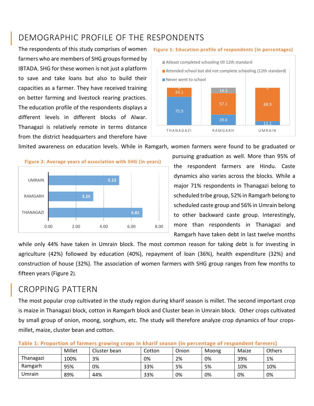# DEMOGRAPHIC PROFILE OF THE RESPONDENTS

The respondents of this study comprises of women farmers who are members of SHG groups formed by IBTADA. SHG for these women is not just a platform to save and take loans but also to build their capacities as a farmer. They have received training on better farming and livestock rearing practices. The education profile of the respondents displays a different levels in different blocks of Alwar. Thanagazi is relatively remote in terms distance from the district headquarters and therefore have



**Figure 1: Education profile of respondents (in percentages)**

limited awareness on education levels. While in Ramgarh, women farmers were found to be graduated or



pursuing graduation as well. More than 95% of the respondent farmers are Hindu. Caste dynamics also varies across the blocks. While a major 71% respondents in Thanagazi belong to scheduled tribe group, 52% in Ramgarh belong to scheduled caste group and 56% in Umrain belong to other backward caste group. Interestingly, more than respondents in Thanagazi and Ramgarh have taken debt in last twelve months

while only 44% have taken in Umrain block. The most common reason for taking debt is for investing in agriculture (42%) followed by education (40%), repayment of loan (36%), health expenditure (32%) and construction of house (32%). The association of women farmers with SHG group ranges from few months to fifteen years (Figure 2).

### CROPPING PATTERN

The most popular crop cultivated in the study region during kharif season is millet. The second important crop is maize in Thanagazi block, cotton in Ramgarh block and Cluster bean in Umrain block. Other crops cultivated by small group of onion, moong, sorghum, etc. The study will therefore analyze crop dynamics of four cropsmillet, maize, cluster bean and cotton.

|           | Millet | Cluster bean | Cotton | Onion | Moong | Maize | Others |
|-----------|--------|--------------|--------|-------|-------|-------|--------|
| Thanagazi | 100%   | 3%           | 0%     | 2%    | 0%    | 39%   | 1%     |
| Ramgarh   | 95%    | 0%           | 33%    | 5%    | 5%    | 10%   | 10%    |
| Umrain    | 89%    | 44%          | 33%    | 0%    | 0%    | 0%    | 0%     |

#### **Table 1: Proportion of farmers growing crops in kharif season (in percentage of respondent farmers)**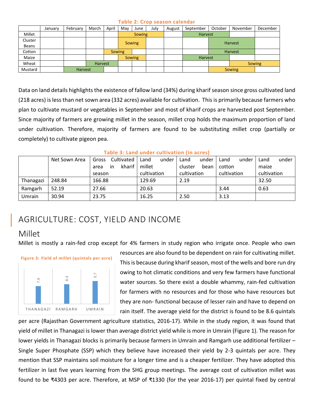#### **Table 2: Crop season calendar**

|         | January | February | March   | April         | May           | June | July | August | September | October | November | December |
|---------|---------|----------|---------|---------------|---------------|------|------|--------|-----------|---------|----------|----------|
| Millet  |         |          |         |               | <b>Sowing</b> |      |      |        | Harvest   |         |          |          |
| Cluster |         |          |         |               |               |      |      |        |           | Harvest |          |          |
| Beans   |         |          |         |               | <b>Sowing</b> |      |      |        |           |         |          |          |
| Cotton  |         |          |         | <b>Sowing</b> |               |      |      |        |           | Harvest |          |          |
| Maize   |         |          |         |               | <b>Sowing</b> |      |      |        | Harvest   |         |          |          |
| Wheat   |         |          | Harvest |               |               |      |      |        |           |         | Sowing   |          |
| Mustard |         | Harvest  |         |               |               |      |      |        |           | Sowing  |          |          |

Data on land details highlights the existence of fallow land (34%) during kharif season since gross cultivated land (218 acres) is less than net sown area (332 acres) available for cultivation. This is primarily because farmers who plan to cultivate mustard or vegetables in September and most of kharif crops are harvested post September. Since majority of farmers are growing millet in the season, millet crop holds the maximum proportion of land under cultivation. Therefore, majority of farmers are found to be substituting millet crop (partially or completely) to cultivate pigeon pea.

| Table 5. Land under cultivation (iii acres) |               |                     |    |        |             |      |             |      |             |      |             |  |
|---------------------------------------------|---------------|---------------------|----|--------|-------------|------|-------------|------|-------------|------|-------------|--|
|                                             | Net Sown Area | Cultivated<br>Gross |    | Land   | under       | Land | under       | Land | under       | Land | under       |  |
|                                             |               | area                | in | kharif | millet      |      | cluster     | bean | cotton      |      | maize       |  |
|                                             |               | season              |    |        | cultivation |      | cultivation |      | cultivation |      | cultivation |  |
| Thanagazi                                   | 248.84        | 166.88              |    |        | 129.69      |      | 2.19        |      |             |      | 32.50       |  |
| Ramgarh                                     | 52.19         | 27.66               |    |        | 20.63       |      |             |      | 3.44        |      | 0.63        |  |
| Umrain                                      | 30.94         | 23.75               |    |        | 16.25       |      | 2.50        |      | 3.13        |      |             |  |

#### **Table 3: Land under cultivation (in acres)**

# AGRICULTURE: COST, YIELD AND INCOME

### Millet

Millet is mostly a rain-fed crop except for 4% farmers in study region who irrigate once. People who own



resources are also found to be dependent on rain for cultivating millet. This is because during kharif season, most of the wells and bore run dry owing to hot climatic conditions and very few farmers have functional water sources. So there exist a double whammy, rain-fed cultivation for farmers with no resources and for those who have resources but they are non- functional because of lesser rain and have to depend on rain itself. The average yield for the district is found to be 8.6 quintals

per acre (Rajasthan Government agriculture statistics, 2016-17). While in the study region, it was found that yield of millet in Thanagazi is lower than average district yield while is more in Umrain (Figure 1). The reason for lower yields in Thanagazi blocks is primarily because farmers in Umrain and Ramgarh use additional fertilizer – Single Super Phosphate (SSP) which they believe have increased their yield by 2-3 quintals per acre. They mention that SSP maintains soil moisture for a longer time and is a cheaper fertilizer. They have adopted this fertilizer in last five years learning from the SHG group meetings. The average cost of cultivation millet was FOUNDER THANAGAZI BAMGARH UMBAIN<br>
THANAGAZI BAMGARH UMBAIN<br>
THANAGAZI BAMGARH UMBAIN<br>
THANAGAZI BAMGARH UMBAIN<br>
THANAGAZI BAMGARH UMBAIN<br>
THANAGAZI BAMGARH UMBAIN<br>
THANAGAZI BAMGARH UMBAIN<br>
THANAGAZI BAMGARH UMBAIN<br>
THAN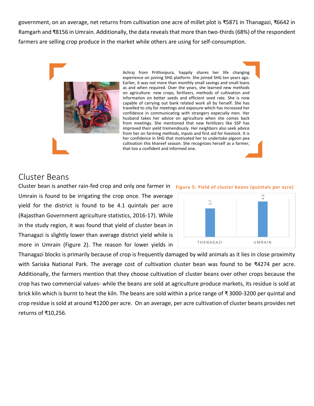government, on an average, net returns from cultivation one acre of millet plot is ₹5871 in Thanagazi, ₹6642 in Ramgarh and ₹8156 in Umrain. Additionally, the data reveals that more than two-thirds (68%) of the respondent farmers are selling crop produce in the market while others are using for self-consumption.



Achraj from Prithivipura, happily shares her life changing experience on joining SHG platform. She joined SHG ten years ago. Earlier, it was not more than monthly small savings and small loans as and when required. Over the years, she learned new methods on agriculture- new crops, fertlizers, methods of cultivation and information on better seeds and efficient seed rate. She is now capable of carrying out bank related work all by herself. She has travelled to city for meetings and exposure which has increased her confidence in communicating with strangers expecially men. Her husband takes her advice on agriculture when she comes back from meetings. She mentioned that new fertilizers like SSP has improved their yield tremendously. Her neighbors also seek advice from her on farming methods, inputs and first aid for livestock. It is her confidence in SHG that motivated her to undertake pigeon pea cultivation this khareef season. She recognizes herself as a farmer, that too a confident and informed one.

#### Cluster Beans

Cluster bean is another rain-fed crop and only one farmer in **Figure 5: Yield of cluster beans (quintals per acre)** Umrain is found to be irrigating the crop once. The average yield for the district is found to be 4.1 quintals per acre (Rajasthan Government agriculture statistics, 2016-17). While in the study region, it was found that yield of cluster bean in Thanagazi is slightly lower than average district yield while is more in Umrain (Figure 2). The reason for lower yields in





Thanagazi blocks is primarily because of crop is frequently damaged by wild animals as it lies in close proximity with Sariska National Park. The average cost of cultivation cluster bean was found to be ₹4274 per acre. Additionally, the farmers mention that they choose cultivation of cluster beans over other crops because the crop has two commercial values- while the beans are sold at agriculture produce markets, its residue is sold at brick kiln which is burnt to heat the kiln. The beans are sold within a price range of ₹ 3000-3200 per quintal and crop residue is sold at around ₹1200 per acre. On an average, per acre cultivation of cluster beans provides net returns of ₹10,256.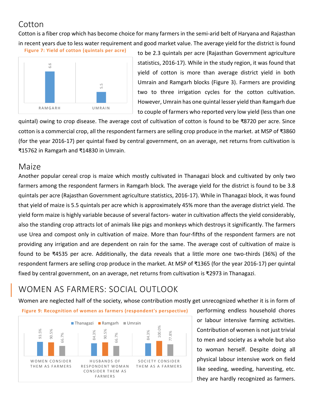# **Cotton**

Cotton is a fiber crop which has become choice for many farmers in the semi-arid belt of Haryana and Rajasthan in recent years due to less water requirement and good market value. The average yield for the district is found

**Figure 7: Yield of cotton (quintals per acre)**



to be 2.3 quintals per acre (Rajasthan Government agriculture statistics, 2016-17). While in the study region, it was found that yield of cotton is more than average district yield in both Umrain and Ramgarh blocks (Figure 3). Farmers are providing two to three irrigation cycles for the cotton cultivation. However, Umrain has one quintal lesser yield than Ramgarh due to couple of farmers who reported very low yield (less than one

quintal) owing to crop disease. The average cost of cultivation of cotton is found to be ₹8720 per acre. Since cotton is a commercial crop, all the respondent farmers are selling crop produce in the market. at MSP of ₹3860 (for the year 2016-17) per quintal fixed by central government, on an average, net returns from cultivation is ₹15762 in Ramgarh and ₹14830 in Umrain.

### Maize

Another popular cereal crop is maize which mostly cultivated in Thanagazi block and cultivated by only two farmers among the respondent farmers in Ramgarh block. The average yield for the district is found to be 3.8 quintals per acre (Rajasthan Government agriculture statistics, 2016-17). While in Thanagazi block, it was found that yield of maize is 5.5 quintals per acre which is approximately 45% more than the average district yield. The yield form maize is highly variable because of several factors- water in cultivation affects the yield considerably, also the standing crop attracts lot of animals like pigs and monkeys which destroys it significantly. The farmers use Urea and compost only in cultivation of maize. More than four-fifths of the respondent farmers are not providing any irrigation and are dependent on rain for the same. The average cost of cultivation of maize is found to be ₹4535 per acre. Additionally, the data reveals that a little more one two-thirds (36%) of the respondent farmers are selling crop produce in the market. At MSP of ₹1365 (for the year 2016-17) per quintal fixed by central government, on an average, net returns from cultivation is ₹2973 in Thanagazi.

# WOMEN AS FARMERS: SOCIAL OUTLOOK

Women are neglected half of the society, whose contribution mostly get unrecognized whether it is in form of

**Figure 9: Recognition of women as farmers (respondent's perspective)**



performing endless household chores or labour intensive farming activities. Contribution of women is not just trivial to men and society as a whole but also to woman herself. Despite doing all physical labour intensive work on field like seeding, weeding, harvesting, etc. they are hardly recognized as farmers.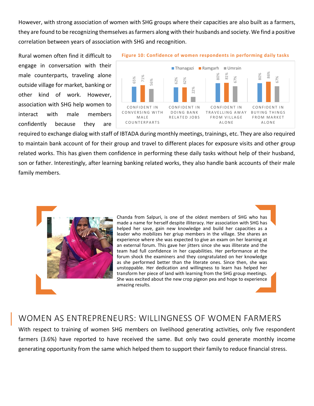However, with strong association of women with SHG groups where their capacities are also built as a farmers, they are found to be recognizing themselves as farmers along with their husbands and society. We find a positive correlation between years of association with SHG and recognition.

Rural women often find it difficult to engage in conversation with their male counterparts, traveling alone outside village for market, banking or other kind of work. However, association with SHG help women to interact with male members confidently because they are





required to exchange dialog with staff of IBTADA during monthly meetings, trainings, etc. They are also required to maintain bank account of for their group and travel to different places for exposure visits and other group related works. This has given them confidence in performing these daily tasks without help of their husband, son or father. Interestingly, after learning banking related works, they also handle bank accounts of their male family members.



ERRETT CONFIDENT<br>
CONFIDENT<br>
CONFIDENT<br>
COUNTERPA<br>
FIBTADA duri<br>
Troup and traver<br>
or transform be made a name for<br>
chanda from Samade a name for<br>
chanda from Samade a name for<br>
experience whe<br>
an external forum shock the<br> Chanda from Salpuri, is one of the oldest members of SHG who has made a name for herself despite illiteracy. Her association with SHG has helped her save, gain new knowledge and build her capacities as a leader who mobilizes her griup members in the village. She shares an experience where she was expected to give an exam on her learning at an external forum. This gave her jitters since she was illiterate and the team had full confidence in her capabilities. Her performance at the forum shock the examiners and they congratulated on her knowledge as she performed better than the literate ones. Since then, she was unstoppable. Her dedication and willingness to learn has helped her transform her piece of land with learning from the SHG group meetings. She was excited about the new crop pigeon pea and hope to experience amazing results.

### WOMEN AS ENTREPRENEURS: WILLINGNESS OF WOMEN FARMERS

With respect to training of women SHG members on livelihood generating activities, only five respondent farmers (3.6%) have reported to have received the same. But only two could generate monthly income generating opportunity from the same which helped them to support their family to reduce financial stress.